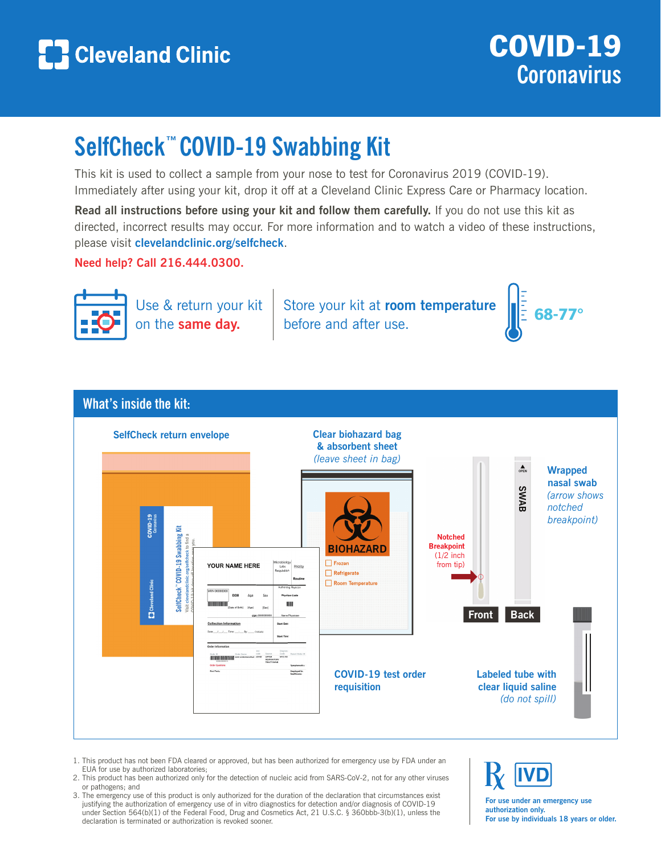

## **SelfCheck™ COVID-19 Swabbing Kit**

This kit is used to collect a sample from your nose to test for Coronavirus 2019 (COVID-19). Immediately after using your kit, drop it off at a Cleveland Clinic Express Care or Pharmacy location.

**Read all instructions before using your kit and follow them carefully.** If you do not use this kit as directed, incorrect results may occur. For more information and to watch a video of these instructions, please visit **clevelandclinic.org/selfcheck**.

**Need help? Call 216.444.0300.**



Use & return your kit on the **same day.**

Store your kit at **room temperature** Store your kit at **room temperature**  $\int_{\mathbb{R}^2} 68-77^{\circ}$ 



## **What's inside the kit:**



- 1. This product has not been FDA cleared or approved, but has been authorized for emergency use by FDA under an EUA for use by authorized laboratories;
- 2. This product has been authorized only for the detection of nucleic acid from SARS-CoV-2, not for any other viruses or pathogens; and
- 3. The emergency use of this product is only authorized for the duration of the declaration that circumstances exist justifying the authorization of emergency use of in vitro diagnostics for detection and/or diagnosis of COVID-19 under Section 564(b)(1) of the Federal Food, Drug and Cosmetics Act, 21 U.S.C. § 360bbb-3(b)(1), unless the declaration is terminated or authorization is revoked sooner.

**For use under an emergency use authorization only. For use by individuals 18 years or older.**